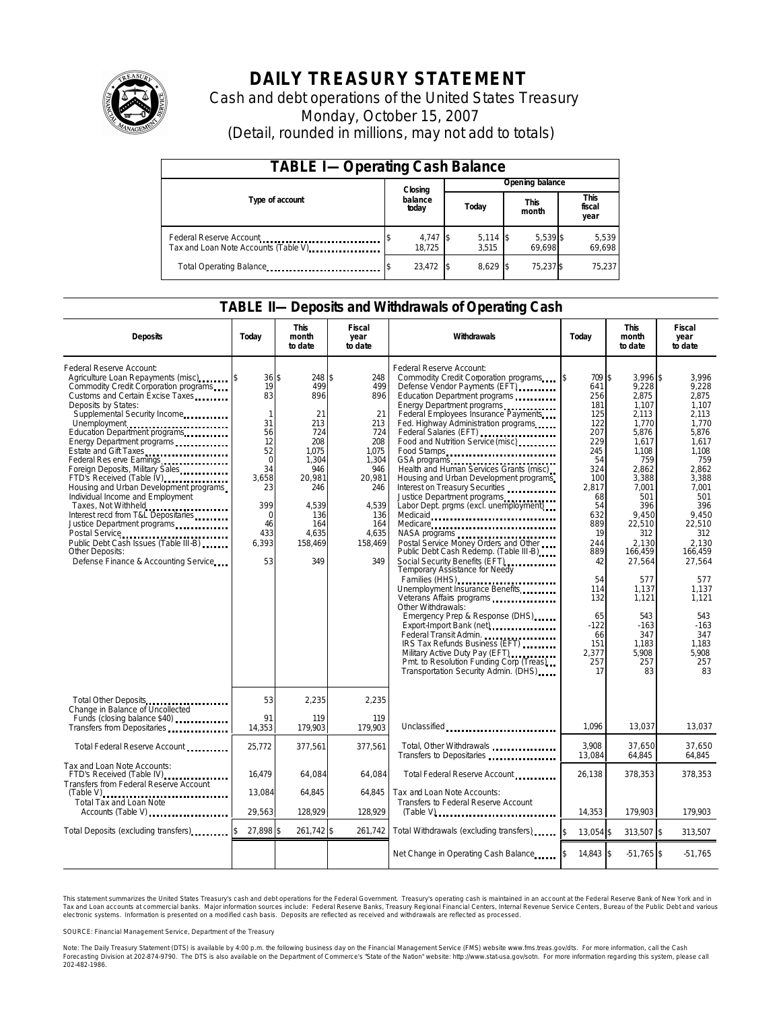

# **DAILY TREASURY STATEMENT**

Cash and debt operations of the United States Treasury Monday, October 15, 2007 (Detail, rounded in millions, may not add to totals)

| <b>TABLE I-Operating Cash Balance</b>                            |  |                      |  |                     |  |                      |  |                               |
|------------------------------------------------------------------|--|----------------------|--|---------------------|--|----------------------|--|-------------------------------|
|                                                                  |  | Closing              |  | Opening balance     |  |                      |  |                               |
| Type of account                                                  |  | balance<br>today     |  | Today               |  | <b>This</b><br>month |  | <b>This</b><br>fiscal<br>year |
| Federal Reserve Account<br>Tax and Loan Note Accounts (Table V). |  | $4,747$ \$<br>18.725 |  | $5,114$ \$<br>3.515 |  | 5,539 \$<br>69.698   |  | 5,539<br>69,698               |
| Total Operating Balance                                          |  | 23,472 \$            |  | $8.629$ \$          |  | 75.237 \$            |  | 75.237                        |

## **TABLE II—Deposits and Withdrawals of Operating Cash**

| <b>Deposits</b>                                                                                                                                                                                                                                                                                                                                                                                                                                                                                                                                                                                                                                                         | Today                                                                                                                                   | <b>This</b><br>month<br>to date                                                                                                             | <b>Fiscal</b><br>year<br>to date                                                                                                         | Withdrawals                                                                                                                                                                                                                                                                                                                                                                                                                                                                                                                                                                                                                                                                                                                                                                                                                                                                                                                                                                                                                                                                                                              | Today                                                                                                                                                                                                                        | <b>This</b><br>month<br>to date                                                                                                                                                                                                                                            | <b>Fiscal</b><br>year<br>to date                                                                                                                                                                                                                                      |
|-------------------------------------------------------------------------------------------------------------------------------------------------------------------------------------------------------------------------------------------------------------------------------------------------------------------------------------------------------------------------------------------------------------------------------------------------------------------------------------------------------------------------------------------------------------------------------------------------------------------------------------------------------------------------|-----------------------------------------------------------------------------------------------------------------------------------------|---------------------------------------------------------------------------------------------------------------------------------------------|------------------------------------------------------------------------------------------------------------------------------------------|--------------------------------------------------------------------------------------------------------------------------------------------------------------------------------------------------------------------------------------------------------------------------------------------------------------------------------------------------------------------------------------------------------------------------------------------------------------------------------------------------------------------------------------------------------------------------------------------------------------------------------------------------------------------------------------------------------------------------------------------------------------------------------------------------------------------------------------------------------------------------------------------------------------------------------------------------------------------------------------------------------------------------------------------------------------------------------------------------------------------------|------------------------------------------------------------------------------------------------------------------------------------------------------------------------------------------------------------------------------|----------------------------------------------------------------------------------------------------------------------------------------------------------------------------------------------------------------------------------------------------------------------------|-----------------------------------------------------------------------------------------------------------------------------------------------------------------------------------------------------------------------------------------------------------------------|
| Federal Reserve Account:<br>Agriculture Loan Repayments (misc)<br>Commodity Credit Corporation programs<br>Customs and Certain Excise Taxes<br>Deposits by States:<br>Supplemental Security Income<br>Education Department programs<br>Energy Department programs<br>Estate and Gift Taxes<br>Federal Res erve Earnings<br>Foreign Deposits, Military Sales<br>FTD's Received (Table IV)<br>Housing and Urban Development programs<br>Individual Income and Employment<br>Taxes, Not Withheld<br>Interest recd from T&L Depositaries<br>Justice Department programs<br>Public Debt Cash Issues (Table III-B)<br>Other Deposits:<br>Defense Finance & Accounting Service | 36S<br>19<br>83<br>$\mathbf{1}$<br>31<br>56<br>12<br>52<br>$\Omega$<br>34<br>3,658<br>23<br>399<br>$\Omega$<br>46<br>433<br>6,393<br>53 | 248 \$<br>499<br>896<br>21<br>213<br>724<br>208<br>1.075<br>1.304<br>946<br>20,981<br>246<br>4.539<br>136<br>164<br>4,635<br>158,469<br>349 | 248<br>499<br>896<br>21<br>213<br>724<br>208<br>1.075<br>1,304<br>946<br>20,981<br>246<br>4,539<br>136<br>164<br>4,635<br>158,469<br>349 | Federal Reserve Account:<br>Commodity Credit Corporation programs<br>Defense Vendor Payments (EFT)<br>Education Department programs<br>Energy Department programs<br>Federal Employees Insurance Payments<br>Fed. Highway Administration programs<br>Federal Salaries (EFT)<br>Food and Nutrition Service (misc)<br>Food Stamps<br>GSA programs<br>Health and Human Services Grants (misc).<br>Housing and Urban Development programs<br>Interest on Treasury Securities<br>Justice Department programs<br>Labor Dept. prgms (excl. unemployment)<br>Medicaid<br>Medicare<br>Postal Service Money Orders and Other<br>Public Debt Cash Redemp. (Table III-B)<br>Social Security Benefits (EFT)<br><br>Temporary Assistance for Needy<br>Families (HHS)<br>Unemployment Insurance Benefits<br>Veterans Affairs programs<br>Other Withdrawals:<br>Emergency Prep & Response (DHS)<br>Export-Import Bank (net)<br>Fxport-Import Bank (net)<br>Federal Transit Admin.<br>IRS Tax Refunds Business (EFT)<br>Military Active Duty Pay (EFT)<br>Pmt. to Resolution Funding Corp (Treas)<br>Transportation Security Admin. (DHS) | 709 \$<br>ß.<br>641<br>256<br>181<br>125<br>122<br>207<br>229<br>245<br>54<br>324<br>100<br>2,817<br>68<br>54<br>632<br>889<br>19<br>244<br>889<br>42<br>54<br>114<br>132<br>65<br>$-122$<br>66<br>151<br>2,377<br>257<br>17 | $3.996$ \$<br>9,228<br>2,875<br>1,107<br>2,113<br>1,770<br>5.876<br>1,617<br>1,108<br>759<br>2.862<br>3,388<br>7,001<br>501<br>396<br>9,450<br>22,510<br>312<br>2.130<br>166,459<br>27,564<br>577<br>1,137<br>1,121<br>543<br>$-163$<br>347<br>1,183<br>5,908<br>257<br>83 | 3.996<br>9,228<br>2.875<br>1,107<br>2.113<br>1.770<br>5.876<br>1.617<br>1.108<br>759<br>2.862<br>3,388<br>7.001<br>501<br>396<br>9,450<br>22.510<br>312<br>2.130<br>166,459<br>27,564<br>577<br>1.137<br>1.121<br>543<br>$-163$<br>347<br>1,183<br>5,908<br>257<br>83 |
| Total Other Deposits<br>Change in Balance of Uncollected<br>Funds (closing balance \$40)                                                                                                                                                                                                                                                                                                                                                                                                                                                                                                                                                                                | 53<br>91                                                                                                                                | 2,235<br>119                                                                                                                                | 2,235<br>119                                                                                                                             |                                                                                                                                                                                                                                                                                                                                                                                                                                                                                                                                                                                                                                                                                                                                                                                                                                                                                                                                                                                                                                                                                                                          |                                                                                                                                                                                                                              |                                                                                                                                                                                                                                                                            |                                                                                                                                                                                                                                                                       |
| Transfers from Depositaries                                                                                                                                                                                                                                                                                                                                                                                                                                                                                                                                                                                                                                             | 14,353                                                                                                                                  | 179,903                                                                                                                                     | 179,903                                                                                                                                  | Unclassified                                                                                                                                                                                                                                                                                                                                                                                                                                                                                                                                                                                                                                                                                                                                                                                                                                                                                                                                                                                                                                                                                                             | 1.096                                                                                                                                                                                                                        | 13,037                                                                                                                                                                                                                                                                     | 13,037                                                                                                                                                                                                                                                                |
| Total Federal Reserve Account                                                                                                                                                                                                                                                                                                                                                                                                                                                                                                                                                                                                                                           | 25,772                                                                                                                                  | 377,561                                                                                                                                     | 377,561                                                                                                                                  | Total, Other Withdrawals<br>Transfers to Depositaries                                                                                                                                                                                                                                                                                                                                                                                                                                                                                                                                                                                                                                                                                                                                                                                                                                                                                                                                                                                                                                                                    | 3,908<br>13,084                                                                                                                                                                                                              | 37,650<br>64,845                                                                                                                                                                                                                                                           | 37,650<br>64,845                                                                                                                                                                                                                                                      |
| Tax and Loan Note Accounts:<br>FTD's Received (Table IV)<br>Transfers from Federal Reserve Account                                                                                                                                                                                                                                                                                                                                                                                                                                                                                                                                                                      | 16,479                                                                                                                                  | 64,084                                                                                                                                      | 64,084                                                                                                                                   | Total Federal Reserve Account                                                                                                                                                                                                                                                                                                                                                                                                                                                                                                                                                                                                                                                                                                                                                                                                                                                                                                                                                                                                                                                                                            | 26,138                                                                                                                                                                                                                       | 378,353                                                                                                                                                                                                                                                                    | 378,353                                                                                                                                                                                                                                                               |
| $(Table V)$<br>Total Tax and Loan Note<br>Accounts (Table V)                                                                                                                                                                                                                                                                                                                                                                                                                                                                                                                                                                                                            | 13,084<br>29,563                                                                                                                        | 64.845<br>128,929                                                                                                                           | 64.845<br>128,929                                                                                                                        | Tax and Loan Note Accounts:<br>Transfers to Federal Reserve Account<br>$(Table V)$                                                                                                                                                                                                                                                                                                                                                                                                                                                                                                                                                                                                                                                                                                                                                                                                                                                                                                                                                                                                                                       | 14,353                                                                                                                                                                                                                       | 179.903                                                                                                                                                                                                                                                                    | 179,903                                                                                                                                                                                                                                                               |
| Total Deposits (excluding transfers)                                                                                                                                                                                                                                                                                                                                                                                                                                                                                                                                                                                                                                    | 27,898 \$                                                                                                                               | 261,742 \$                                                                                                                                  | 261,742                                                                                                                                  | Total Withdrawals (excluding transfers)                                                                                                                                                                                                                                                                                                                                                                                                                                                                                                                                                                                                                                                                                                                                                                                                                                                                                                                                                                                                                                                                                  | 13.054 \$<br><sup>\$</sup>                                                                                                                                                                                                   | 313,507 \$                                                                                                                                                                                                                                                                 | 313,507                                                                                                                                                                                                                                                               |
|                                                                                                                                                                                                                                                                                                                                                                                                                                                                                                                                                                                                                                                                         |                                                                                                                                         |                                                                                                                                             |                                                                                                                                          | Net Change in Operating Cash Balance                                                                                                                                                                                                                                                                                                                                                                                                                                                                                                                                                                                                                                                                                                                                                                                                                                                                                                                                                                                                                                                                                     | 14,843 \$                                                                                                                                                                                                                    | $-51,765$ \$                                                                                                                                                                                                                                                               | $-51,765$                                                                                                                                                                                                                                                             |

This statement summarizes the United States Treasury's cash and debt operations for the Federal Government. Treasury's operating cash is maintained in an account at the Federal Reserve Bank of New York and in Tax and Loan accounts at commercial banks. Major information sources include: Federal Reserve Banks, Treasury Regional Financial Centers, Internal Revenue Service Centers, Bureau of the Public Debt and various<br>electronic s

SOURCE: Financial Management Service, Department of the Treasury

Note: The Daily Treasury Statement (DTS) is available by 4:00 p.m. the following business day on the Financial Management Service (FMS) website www.fms.treas.gov/dts.<br>Forecasting Division at 202-874-9790. The DTS is also a 'S) is available by 4:00 p.m. the following business day on the Financial Management Service (FMS) website www.fms.treas.gov/dts. For more information, call the Cash<br>The DTS is also available on the Department of Commerce'